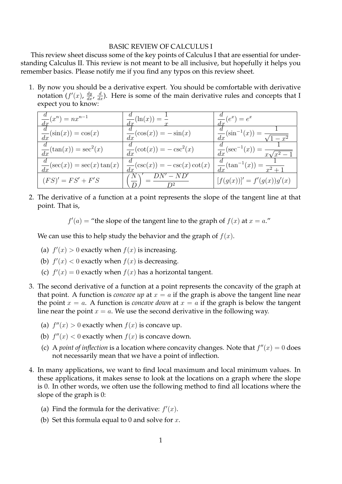## BASIC REVIEW OF CALCULUS I

This review sheet discuss some of the key points of Calculus I that are essential for understanding Calculus II. This review is not meant to be all inclusive, but hopefully it helps you remember basics. Please notify me if you find any typos on this review sheet.

1. By now you should be a derivative expert. You should be comfortable with derivative notation  $(f'(x), \frac{dy}{dx}, \frac{d}{dx})$ . Here is some of the main derivative rules and concepts that I expect you to know:

| $\frac{d}{dx}(x^n) = nx^{n-1}$           | $\frac{1}{dx}(\ln(x)) = -$                | $\frac{1}{dx}(e^x) = e^x$                             |
|------------------------------------------|-------------------------------------------|-------------------------------------------------------|
| $\frac{d}{dx}(\sin(x)) = \cos(x)$        | $\frac{d}{dx}(\cos(x)) = -\sin(x)$        | $\frac{d}{dx}(\sin^{-1}(x)) = \frac{1}{\sqrt{1-x^2}}$ |
| $\frac{1}{dx}(\tan(x)) = \sec^2(x)$      | $\frac{d}{dx}(\cot(x)) = -\csc^2(x)$      | $rac{u}{dx}(\sec^{-1}(x)) = \frac{1}{x\sqrt{x^2-1}}$  |
| $\frac{d}{dx}(\sec(x)) = \sec(x)\tan(x)$ | $\frac{d}{dx}(\csc(x)) = -\csc(x)\cot(x)$ | $rac{u}{dx}(\tan^{-1}(x)) = \frac{1}{x^2+1}$          |
| $(FS)' = FS' + F'S$                      | $DN'-N\overline{D}$                       | $[f(g(x))]' = f'(g(x))g'(x)$                          |

2. The derivative of a function at a point represents the slope of the tangent line at that point. That is,

 $f'(a) =$  "the slope of the tangent line to the graph of  $f(x)$  at  $x = a$ ."

We can use this to help study the behavior and the graph of  $f(x)$ .

- (a)  $f'(x) > 0$  exactly when  $f(x)$  is increasing.
- (b)  $f'(x) < 0$  exactly when  $f(x)$  is decreasing.
- (c)  $f'(x) = 0$  exactly when  $f(x)$  has a horizontal tangent.
- 3. The second derivative of a function at a point represents the concavity of the graph at that point. A function is *concave up* at  $x = a$  if the graph is above the tangent line near the point  $x = a$ . A function is *concave down* at  $x = a$  if the graph is below the tangent line near the point  $x = a$ . We use the second derivative in the following way.
	- (a)  $f''(x) > 0$  exactly when  $f(x)$  is concave up.
	- (b)  $f''(x) < 0$  exactly when  $f(x)$  is concave down.
	- (c) A *point of inflection* is a location where concavity changes. Note that  $f''(x) = 0$  does not necessarily mean that we have a point of inflection.
- 4. In many applications, we want to find local maximum and local minimum values. In these applications, it makes sense to look at the locations on a graph where the slope is 0. In other words, we often use the following method to find all locations where the slope of the graph is 0:
	- (a) Find the formula for the derivative:  $f'(x)$ .
	- (b) Set this formula equal to 0 and solve for  $x$ .